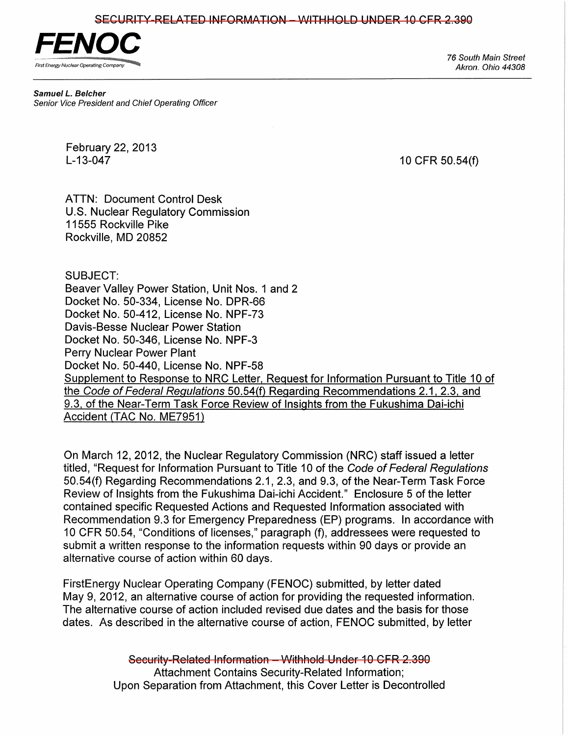## SECURITY-RELATED INFORMATION - WITHHOLD UNDER 10 CFR 2.390



76 South Main Street Akron. Ohio 44308

Samuel L. Belcher Senior Vice President and Chief Operating Officer

> February 22,2013 L-13-047 10 CFR 50.54(f)

ATTN: Document Control Desk U.S. Nuclear Regulatory Commission 11555 Rockville Pike Rockville, MD 20852

SUBJECT: Beaver Valley Power Station, Unit Nos. 1 and 2 Docket No. 50-334, License No. DPR-66 Docket No. 50-412, License No. NPF-73 Davis-Besse Nuclear Power Station Docket No. 50-346, License No. NPF-3 Perry Nuclear Power Plant Docket No. 50-440, License No. NPF-58 Supplement to Response to NRC Letter, Request for Information Pursuant to Title 10 of the Code of Federal Regulations 50.54(f) Regarding Recommendations 2.1, 2.3, and 9.3, of the Near-Term Task Force Review of Insights from the Fukushima Dai-ichi Accident (TAC No. ME7951)

On March 12,2012, the Nuclear Regulatory Commission (NRC) staff issued a letter titled, "Request for Information Pursuant to Title 10 of the Code of Federal Regulations 50.54(f) Regarding Recommendations 2.1,2.3, and 9.3, of the Near-Term Task Force Review of Insights from the Fukushima Dai-ichi Accident." Enclosure 5 of the letter contained specific Requested Actions and Requested Information associated with Recommendation 9.3 for Emergency Preparedness (EP) programs. In accordance with 10 CFR 50.54, "Conditions of licenses," paragraph (f), addressees were requested to submit a written response to the information requests within 90 days or provide an alternative course of action within 60 days.

FirstEnergy Nuclear Operating Company (FENOC) submitted, by letter dated May 9, 2012, an alternative course of action for providing the requested information. The alternative course of action included revised due dates and the basis for those dates. As described in the alternative course of action, FENOC submitted, by letter

> Security-Related Information - Withhold Under 10 CFR 2.390 Attachment Contains Security-Related Information; Upon Separation from Attachment, this Cover Letter is Decontrolled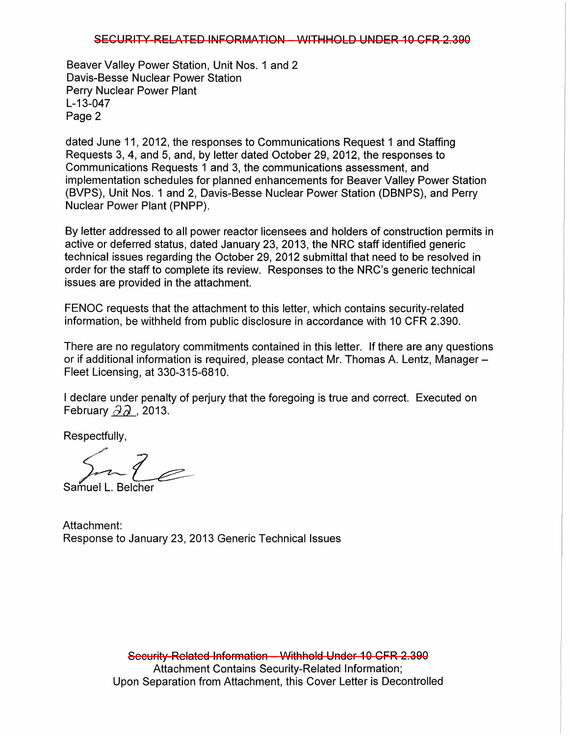## SECURITY-RELATED INFORMATION - WITHHOLD UNDER 10 CFR 2.390

Beaver Valley Power Station, Unit Nos. 1 and 2 Davis-Besse Nuclear Power Station Perry Nuclear Power Plant L-13-047 Page 2

dated June 11, 2012, the responses to Communications Request 1 and Staffing Requests 3, 4, and 5, and, by letter dated October 29,2012, the responses to Communications Requests 1 and 3, the communications assessment, and implementation schedules for planned enhancements for Beaver Valley Power Station (BVPS), Unit Nos. 1 and 2, Davis-Besse Nuclear Power Station (DBNPS), and Perry Nuclear Power Plant (PNPP).

By letter addressed to all power reactor licensees and holders of construction permits in active or deferred status, dated January 23, 2013, the NRC staff identified generic technical issues regarding the October 29, 2012 submittal that need to be resolved in order for the staff to complete its review. Responses to the NRC's generic technical issues are provided in the attachment.

FENOC requests that the attachment to this letter, which contains security-related information, be withheld from public disclosure in accordance with 10 CFR 2.390.

There are no regulatory commitments contained in this letter. If there are any questions or if additional information is required, please contact Mr. Thomas A. Lentz, Manager – Fleet Licensing, at 330-315-6810.

I declare under penalty of perjury that the foregoing is true and correct. Executed on February  $\partial \lambda$ , 2013.

Respectfully,

~ *.. Le--* Samuel L. Belcher

Attachment: Response to January 23, 2013 Generic Technical Issues

Security-Related Information - Withhold Under 10 CFR 2.390 Attachment Contains Security-Related Information; Upon Separation from Attachment, this Cover Letter is Decontrolled